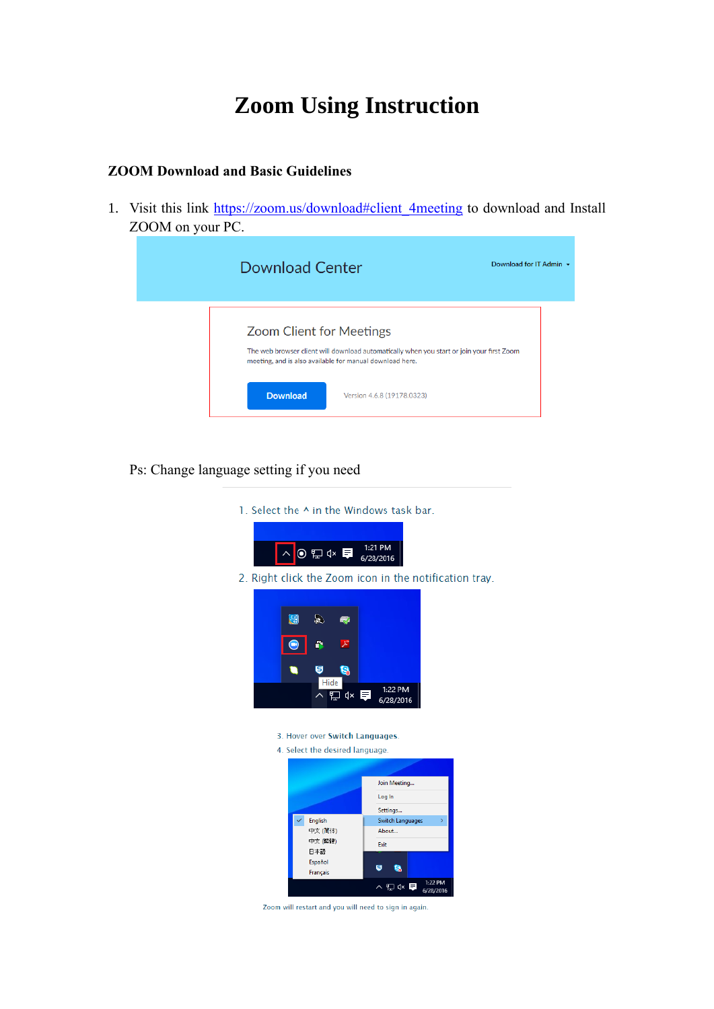# **Zoom Using Instruction**

#### **ZOOM Download and Basic Guidelines**

1. Visit this link https://zoom.us/download#client 4meeting to download and Install ZOOM on your PC.

| <b>Download Center</b>                                                                      | Download for IT Admin $\sim$                                                              |
|---------------------------------------------------------------------------------------------|-------------------------------------------------------------------------------------------|
| <b>Zoom Client for Meetings</b><br>meeting, and is also available for manual download here. | The web browser client will download automatically when you start or join your first Zoom |
| <b>Download</b>                                                                             | Version 4.6.8 (19178.0323)                                                                |

## Ps: Change language setting if you need

1. Select the ^ in the Windows task bar.



2. Right click the Zoom icon in the notification tray.



- 3. Hover over Switch Languages.
- 4. Select the desired language.



Zoom will restart and you will need to sign in again.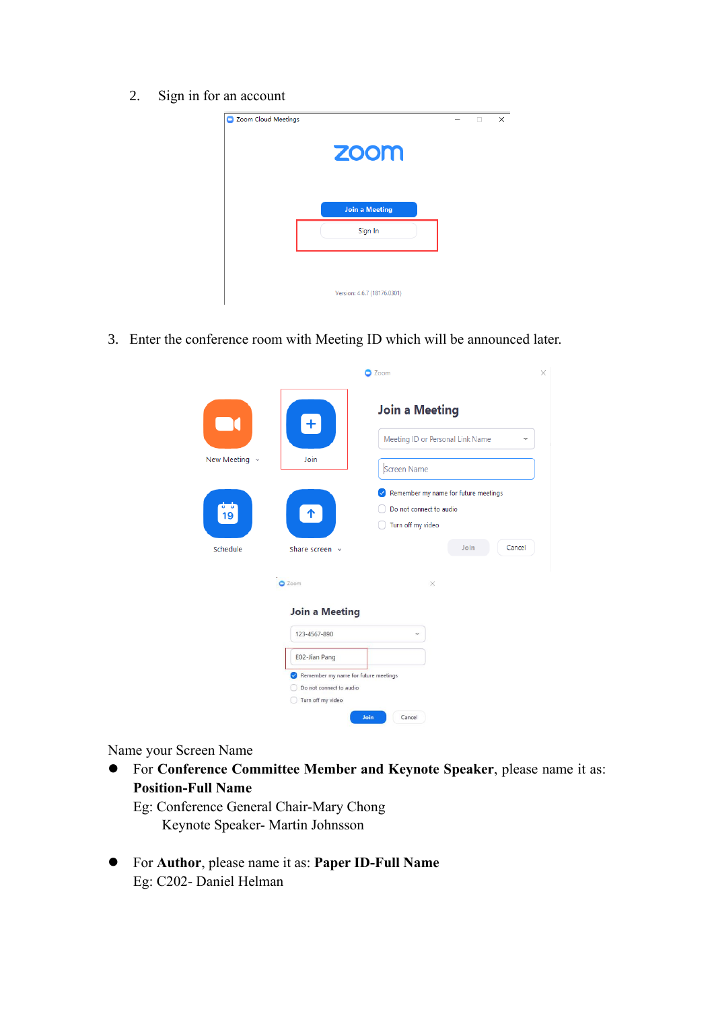2. Sign in for an account



3. Enter the conference room with Meeting ID which will be announced later.

|                            |                                                                                                                                                | Zoom                                                                                                        |
|----------------------------|------------------------------------------------------------------------------------------------------------------------------------------------|-------------------------------------------------------------------------------------------------------------|
| New Meeting $\sim$         | $+$<br>Join                                                                                                                                    | <b>Join a Meeting</b><br>Meeting ID or Personal Link Name<br>$\checkmark$<br>Screen Name                    |
| $\frac{1}{19}$<br>Schedule | $\uparrow$<br>Share screen v                                                                                                                   | Remember my name for future meetings<br>✓<br>Do not connect to audio<br>Turn off my video<br>Join<br>Cancel |
|                            | C Zoom                                                                                                                                         | $\times$                                                                                                    |
|                            | <b>Join a Meeting</b><br>123-4567-890<br>E02-Jian Pang<br>Remember my name for future meetings<br>Do not connect to audio<br>Turn off my video | $\overline{\phantom{a}}$                                                                                    |

Name your Screen Name

⚫ For **Conference Committee Member and Keynote Speaker**, please name it as: **Position-Full Name**

Eg: Conference General Chair-Mary Chong Keynote Speaker- Martin Johnsson

⚫ For **Author**, please name it as: **Paper ID-Full Name** Eg: C202- Daniel Helman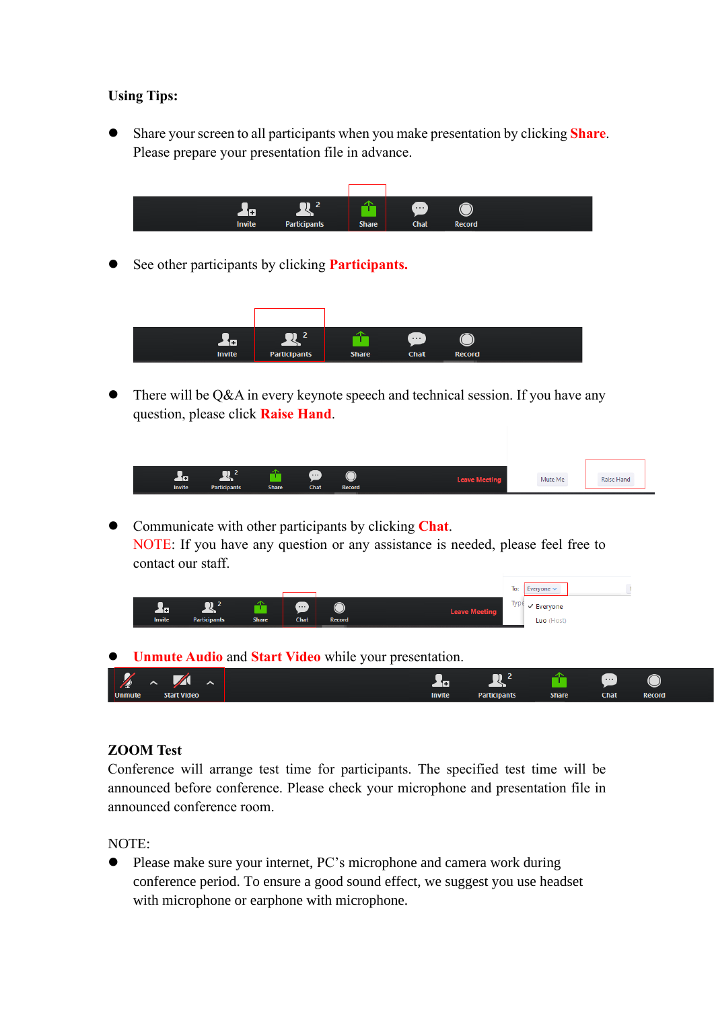### **Using Tips:**

⚫ Share your screen to all participants when you make presentation by clicking **Share**. Please prepare your presentation file in advance.



⚫ See other participants by clicking **Participants.**



There will be Q&A in every keynote speech and technical session. If you have any question, please click **Raise Hand**.

|                    | <b>TILE</b>         |              | œ,   | ⌒                         |                      |         |            |  |
|--------------------|---------------------|--------------|------|---------------------------|----------------------|---------|------------|--|
| π<br><b>Invite</b> | <b>Participants</b> | <b>Share</b> | Chat | $\smile$<br><b>Record</b> | <b>Leave Meeting</b> | Mute Me | Raise Hano |  |

⚫ Communicate with other participants by clicking **Chat**. NOTE: If you have any question or any assistance is needed, please feel free to contact our staff.

|               |                     |              |          |        |                      | To:  | Everyone $\vee$ |  |
|---------------|---------------------|--------------|----------|--------|----------------------|------|-----------------|--|
| π             |                     |              | $\cdots$ |        | <b>Leave Meeting</b> | Type | √ Everyone      |  |
| <b>Invite</b> | <b>Participants</b> | <b>Share</b> | Chat     | Record |                      |      | Luo (Host)      |  |

⚫ **Unmute Audio** and **Start Video** while your presentation.

|               |                               |  | <b>.</b> |               |                     |              |             |               |
|---------------|-------------------------------|--|----------|---------------|---------------------|--------------|-------------|---------------|
| $\sqrt{2}$    | ◢<br>$\hat{\phantom{a}}$<br>∼ |  |          | ▔<br>Ŧ        |                     |              | . 1         |               |
| <b>Unmute</b> | <b>Start Video</b>            |  |          | <b>Invite</b> | <b>Participants</b> | <b>Share</b> | <b>Chat</b> | <b>Record</b> |

#### **ZOOM Test**

Conference will arrange test time for participants. The specified test time will be announced before conference. Please check your microphone and presentation file in announced conference room.

NOTE:

⚫ Please make sure your internet, PC's microphone and camera work during conference period. To ensure a good sound effect, we suggest you use headset with microphone or earphone with microphone.